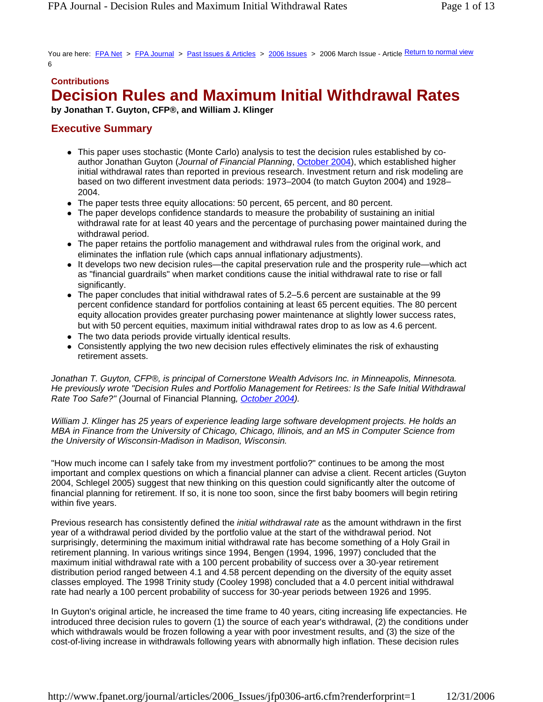You are here: FPA Net > FPA Journal > Past Issues & Articles > 2006 Issues > 2006 March Issue - Article Return to normal view 6

#### **Contributions**

# **Decision Rules and Maximum Initial Withdrawal Rates**

**by Jonathan T. Guyton, CFP®, and William J. Klinger**

## **Executive Summary**

- This paper uses stochastic (Monte Carlo) analysis to test the decision rules established by coauthor Jonathan Guyton (*Journal of Financial Planning*, October 2004), which established higher initial withdrawal rates than reported in previous research. Investment return and risk modeling are based on two different investment data periods: 1973–2004 (to match Guyton 2004) and 1928– 2004.
- The paper tests three equity allocations: 50 percent, 65 percent, and 80 percent.
- The paper develops confidence standards to measure the probability of sustaining an initial withdrawal rate for at least 40 years and the percentage of purchasing power maintained during the withdrawal period.
- The paper retains the portfolio management and withdrawal rules from the original work, and eliminates the inflation rule (which caps annual inflationary adjustments).
- It develops two new decision rules—the capital preservation rule and the prosperity rule—which act as "financial guardrails" when market conditions cause the initial withdrawal rate to rise or fall significantly.
- $\bullet$  The paper concludes that initial withdrawal rates of 5.2–5.6 percent are sustainable at the 99 percent confidence standard for portfolios containing at least 65 percent equities. The 80 percent equity allocation provides greater purchasing power maintenance at slightly lower success rates, but with 50 percent equities, maximum initial withdrawal rates drop to as low as 4.6 percent.
- $\bullet$  The two data periods provide virtually identical results.
- Consistently applying the two new decision rules effectively eliminates the risk of exhausting retirement assets.

*Jonathan T. Guyton, CFP®, is principal of Cornerstone Wealth Advisors Inc. in Minneapolis, Minnesota. He previously wrote "Decision Rules and Portfolio Management for Retirees: Is the Safe Initial Withdrawal Rate Too Safe?" (*Journal of Financial Planning*, October 2004).*

*William J. Klinger has 25 years of experience leading large software development projects. He holds an MBA in Finance from the University of Chicago, Chicago, Illinois, and an MS in Computer Science from the University of Wisconsin-Madison in Madison, Wisconsin.*

"How much income can I safely take from my investment portfolio?" continues to be among the most important and complex questions on which a financial planner can advise a client. Recent articles (Guyton 2004, Schlegel 2005) suggest that new thinking on this question could significantly alter the outcome of financial planning for retirement. If so, it is none too soon, since the first baby boomers will begin retiring within five years.

Previous research has consistently defined the *initial withdrawal rate* as the amount withdrawn in the first year of a withdrawal period divided by the portfolio value at the start of the withdrawal period. Not surprisingly, determining the maximum initial withdrawal rate has become something of a Holy Grail in retirement planning. In various writings since 1994, Bengen (1994, 1996, 1997) concluded that the maximum initial withdrawal rate with a 100 percent probability of success over a 30-year retirement distribution period ranged between 4.1 and 4.58 percent depending on the diversity of the equity asset classes employed. The 1998 Trinity study (Cooley 1998) concluded that a 4.0 percent initial withdrawal rate had nearly a 100 percent probability of success for 30-year periods between 1926 and 1995.

In Guyton's original article, he increased the time frame to 40 years, citing increasing life expectancies. He introduced three decision rules to govern (1) the source of each year's withdrawal, (2) the conditions under which withdrawals would be frozen following a year with poor investment results, and (3) the size of the cost-of-living increase in withdrawals following years with abnormally high inflation. These decision rules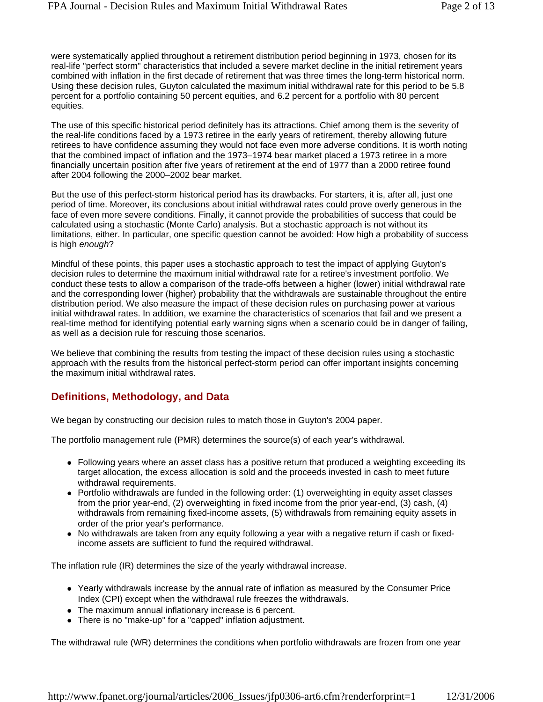were systematically applied throughout a retirement distribution period beginning in 1973, chosen for its real-life "perfect storm" characteristics that included a severe market decline in the initial retirement years combined with inflation in the first decade of retirement that was three times the long-term historical norm. Using these decision rules, Guyton calculated the maximum initial withdrawal rate for this period to be 5.8 percent for a portfolio containing 50 percent equities, and 6.2 percent for a portfolio with 80 percent equities.

The use of this specific historical period definitely has its attractions. Chief among them is the severity of the real-life conditions faced by a 1973 retiree in the early years of retirement, thereby allowing future retirees to have confidence assuming they would not face even more adverse conditions. It is worth noting that the combined impact of inflation and the 1973–1974 bear market placed a 1973 retiree in a more financially uncertain position after five years of retirement at the end of 1977 than a 2000 retiree found after 2004 following the 2000–2002 bear market.

But the use of this perfect-storm historical period has its drawbacks. For starters, it is, after all, just one period of time. Moreover, its conclusions about initial withdrawal rates could prove overly generous in the face of even more severe conditions. Finally, it cannot provide the probabilities of success that could be calculated using a stochastic (Monte Carlo) analysis. But a stochastic approach is not without its limitations, either. In particular, one specific question cannot be avoided: How high a probability of success is high *enough*?

Mindful of these points, this paper uses a stochastic approach to test the impact of applying Guyton's decision rules to determine the maximum initial withdrawal rate for a retiree's investment portfolio. We conduct these tests to allow a comparison of the trade-offs between a higher (lower) initial withdrawal rate and the corresponding lower (higher) probability that the withdrawals are sustainable throughout the entire distribution period. We also measure the impact of these decision rules on purchasing power at various initial withdrawal rates. In addition, we examine the characteristics of scenarios that fail and we present a real-time method for identifying potential early warning signs when a scenario could be in danger of failing, as well as a decision rule for rescuing those scenarios.

We believe that combining the results from testing the impact of these decision rules using a stochastic approach with the results from the historical perfect-storm period can offer important insights concerning the maximum initial withdrawal rates.

### **Definitions, Methodology, and Data**

We began by constructing our decision rules to match those in Guyton's 2004 paper.

The portfolio management rule (PMR) determines the source(s) of each year's withdrawal.

- Following years where an asset class has a positive return that produced a weighting exceeding its target allocation, the excess allocation is sold and the proceeds invested in cash to meet future withdrawal requirements.
- Portfolio withdrawals are funded in the following order: (1) overweighting in equity asset classes from the prior year-end, (2) overweighting in fixed income from the prior year-end, (3) cash, (4) withdrawals from remaining fixed-income assets, (5) withdrawals from remaining equity assets in order of the prior year's performance.
- No withdrawals are taken from any equity following a year with a negative return if cash or fixedincome assets are sufficient to fund the required withdrawal.

The inflation rule (IR) determines the size of the yearly withdrawal increase.

- Yearly withdrawals increase by the annual rate of inflation as measured by the Consumer Price Index (CPI) except when the withdrawal rule freezes the withdrawals.
- The maximum annual inflationary increase is 6 percent.
- There is no "make-up" for a "capped" inflation adjustment.

The withdrawal rule (WR) determines the conditions when portfolio withdrawals are frozen from one year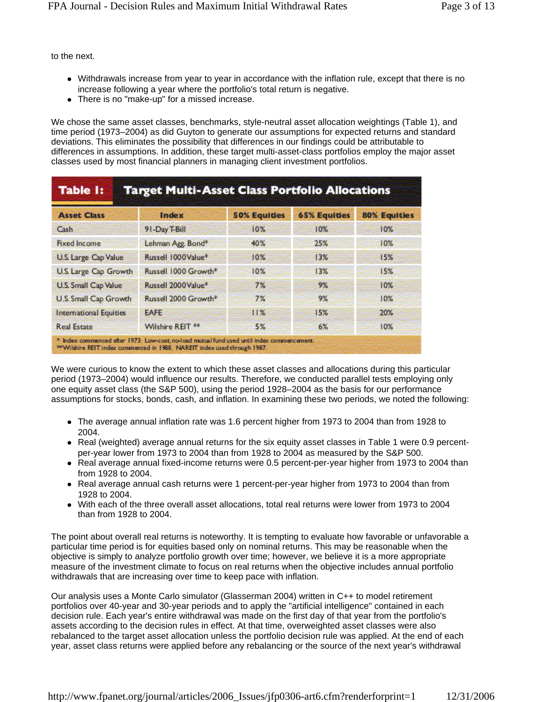to the next.

- Withdrawals increase from year to year in accordance with the inflation rule, except that there is no increase following a year where the portfolio's total return is negative.
- There is no "make-up" for a missed increase.

We chose the same asset classes, benchmarks, style-neutral asset allocation weightings (Table 1), and time period (1973–2004) as did Guyton to generate our assumptions for expected returns and standard deviations. This eliminates the possibility that differences in our findings could be attributable to differences in assumptions. In addition, these target multi-asset-class portfolios employ the major asset classes used by most financial planners in managing client investment portfolios.

| <b>Asset Class</b>            | <b>Index</b>         | <b>50% Equities</b> | <b>65% Equities</b> | <b>80% Equities</b> |
|-------------------------------|----------------------|---------------------|---------------------|---------------------|
| Cash                          | 91-Day T-Bill        | 10%                 | 10%                 | 10%                 |
| <b>Fixed Income</b>           | Lehman Agg. Bond*    | 40%                 | 25%                 | 10%                 |
| U.S. Large Cap Value          | Russell 1000 Value*  | 10%                 | 13%                 | 15%                 |
| U.S. Large Cap Growth         | Russell 1000 Growth* | 10%                 | 13%                 | 15%                 |
| <b>U.S. Small Cap Value</b>   | Russell 2000 Value*  | 7%                  | 9%                  | 10%                 |
| <b>U.S. Small Cap Growth</b>  | Russell 2000 Growth* | 7%                  | 9%                  | 10%                 |
| <b>International Equities</b> | <b>EAFE</b>          | 11%                 | 15%                 | 20%                 |
| <b>Real Estate</b>            | Wilshire REIT **     | 5%                  | 6%                  | 10%                 |

We were curious to know the extent to which these asset classes and allocations during this particular period (1973–2004) would influence our results. Therefore, we conducted parallel tests employing only one equity asset class (the S&P 500), using the period 1928–2004 as the basis for our performance assumptions for stocks, bonds, cash, and inflation. In examining these two periods, we noted the following:

- The average annual inflation rate was 1.6 percent higher from 1973 to 2004 than from 1928 to 2004.
- Real (weighted) average annual returns for the six equity asset classes in Table 1 were 0.9 percentper-year lower from 1973 to 2004 than from 1928 to 2004 as measured by the S&P 500.
- Real average annual fixed-income returns were 0.5 percent-per-year higher from 1973 to 2004 than from 1928 to 2004.
- Real average annual cash returns were 1 percent-per-year higher from 1973 to 2004 than from 1928 to 2004.
- With each of the three overall asset allocations, total real returns were lower from 1973 to 2004 than from 1928 to 2004.

The point about overall real returns is noteworthy. It is tempting to evaluate how favorable or unfavorable a particular time period is for equities based only on nominal returns. This may be reasonable when the objective is simply to analyze portfolio growth over time; however, we believe it is a more appropriate measure of the investment climate to focus on real returns when the objective includes annual portfolio withdrawals that are increasing over time to keep pace with inflation.

Our analysis uses a Monte Carlo simulator (Glasserman 2004) written in C++ to model retirement portfolios over 40-year and 30-year periods and to apply the "artificial intelligence" contained in each decision rule. Each year's entire withdrawal was made on the first day of that year from the portfolio's assets according to the decision rules in effect. At that time, overweighted asset classes were also rebalanced to the target asset allocation unless the portfolio decision rule was applied. At the end of each year, asset class returns were applied before any rebalancing or the source of the next year's withdrawal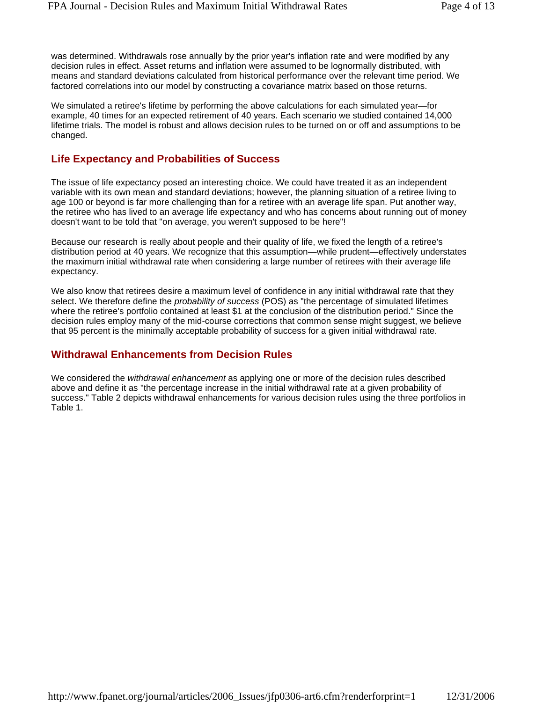was determined. Withdrawals rose annually by the prior year's inflation rate and were modified by any decision rules in effect. Asset returns and inflation were assumed to be lognormally distributed, with means and standard deviations calculated from historical performance over the relevant time period. We factored correlations into our model by constructing a covariance matrix based on those returns.

We simulated a retiree's lifetime by performing the above calculations for each simulated year—for example, 40 times for an expected retirement of 40 years. Each scenario we studied contained 14,000 lifetime trials. The model is robust and allows decision rules to be turned on or off and assumptions to be changed.

## **Life Expectancy and Probabilities of Success**

The issue of life expectancy posed an interesting choice. We could have treated it as an independent variable with its own mean and standard deviations; however, the planning situation of a retiree living to age 100 or beyond is far more challenging than for a retiree with an average life span. Put another way, the retiree who has lived to an average life expectancy and who has concerns about running out of money doesn't want to be told that "on average, you weren't supposed to be here"!

Because our research is really about people and their quality of life, we fixed the length of a retiree's distribution period at 40 years. We recognize that this assumption—while prudent—effectively understates the maximum initial withdrawal rate when considering a large number of retirees with their average life expectancy.

We also know that retirees desire a maximum level of confidence in any initial withdrawal rate that they select. We therefore define the *probability of success* (POS) as "the percentage of simulated lifetimes where the retiree's portfolio contained at least \$1 at the conclusion of the distribution period." Since the decision rules employ many of the mid-course corrections that common sense might suggest, we believe that 95 percent is the minimally acceptable probability of success for a given initial withdrawal rate.

## **Withdrawal Enhancements from Decision Rules**

We considered the *withdrawal enhancement* as applying one or more of the decision rules described above and define it as "the percentage increase in the initial withdrawal rate at a given probability of success." Table 2 depicts withdrawal enhancements for various decision rules using the three portfolios in Table 1.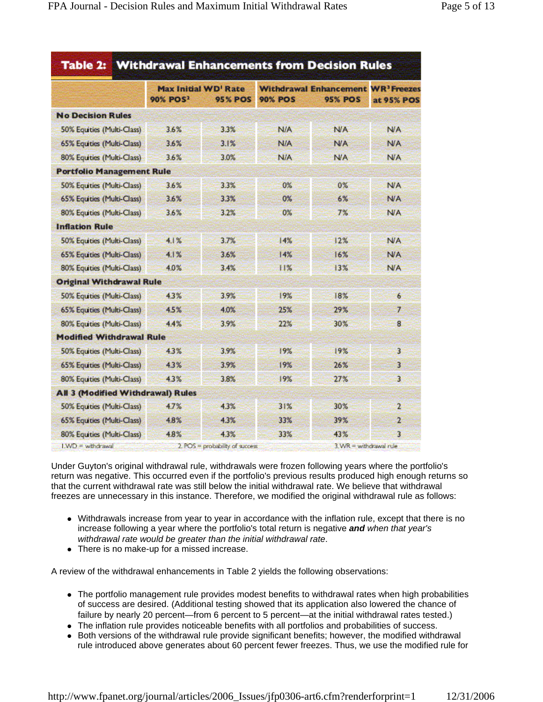|                                          | <b>Max Initial WD' Rate</b> |                |                | <b>Withdrawal Enhancement WR<sup>3</sup> Freezes</b> |                |
|------------------------------------------|-----------------------------|----------------|----------------|------------------------------------------------------|----------------|
|                                          | <b>90% POS</b> <sup>2</sup> | <b>95% POS</b> | <b>90% POS</b> | <b>95% POS</b>                                       | at 95% POS     |
| <b>No Decision Rules</b>                 |                             |                |                |                                                      |                |
| 50% Equities (Multi-Class)               | 3.6%                        | 3.3%           | N/A            | <b>N/A</b>                                           | <b>N/A</b>     |
| 65% Equities (Multi-Class)               | 3.6%                        | 3.1%           | <b>N/A</b>     | <b>N/A</b>                                           | <b>N/A</b>     |
| 80% Equities (Multi-Class)               | 3.6%                        | 3.0%           | N/A            | <b>N/A</b>                                           | <b>N/A</b>     |
| <b>Portfolio Management Rule</b>         |                             |                |                |                                                      |                |
| 50% Equities (Multi-Class)               | 3.6%                        | 3.3%           | 0%             | $0\%$                                                | <b>N/A</b>     |
| 65% Equities (Multi-Class)               | 3.6%                        | 3.3%           | 0%             | 6%                                                   | <b>N/A</b>     |
| 80% Equities (Multi-Class)               | 3.6%                        | 3.2%           | 0%             | 7%                                                   | <b>N/A</b>     |
| <b>Inflation Rule</b>                    |                             |                |                |                                                      |                |
| 50% Equities (Multi-Class)               | 4.1%                        | 3.7%           | 14%            | 12%                                                  | <b>N/A</b>     |
| 65% Equities (Multi-Class)               | 4.1%                        | 3.6%           | 14%            | 16%                                                  | <b>N/A</b>     |
| 80% Equities (Multi-Class)               | 4.0%                        | 3.4%           | 11%            | 13%                                                  | <b>N/A</b>     |
| <b>Original Withdrawal Rule</b>          |                             |                |                |                                                      |                |
| 50% Equities (Multi-Class)               | 43%                         | 3.9%           | 19%            | 18%                                                  | 6              |
| 65% Equities (Multi-Class)               | 45%                         | 4.0%           | 25%            | 29%                                                  | 7              |
| 80% Equities (Multi-Class)               | 4.4%                        | 3.9%           | 22%            | 30%                                                  | 8              |
| <b>Modified Withdrawal Rule</b>          |                             |                |                |                                                      |                |
| 50% Equities (Multi-Class)               | 4.3%                        | 3.9%           | 19%            | 19%                                                  | 3              |
| 65% Equities (Multi-Class)               | 43%                         | 3.9%           | 19%            | 26%                                                  | 3              |
| 80% Equities (Multi-Class)               | 4.3%                        | 3.8%           | 19%            | 27%                                                  | $\overline{3}$ |
| <b>All 3 (Modified Withdrawal) Rules</b> |                             |                |                |                                                      |                |
| 50% Equities (Multi-Class)               | 4.7%                        | 4.3%           | 31%            | 30%                                                  | 2              |
| 65% Equities (Multi-Class)               | 4.8%                        | 4.3%           | 33%            | 39%                                                  | $\overline{2}$ |
| 80% Equities (Multi-Class)               | 48%                         | 43%            | 33%            | 43%                                                  | 3              |

Under Guyton's original withdrawal rule, withdrawals were frozen following years where the portfolio's return was negative. This occurred even if the portfolio's previous results produced high enough returns so that the current withdrawal rate was still below the initial withdrawal rate. We believe that withdrawal freezes are unnecessary in this instance. Therefore, we modified the original withdrawal rule as follows:

- Withdrawals increase from year to year in accordance with the inflation rule, except that there is no increase following a year where the portfolio's total return is negative *and when that year's withdrawal rate would be greater than the initial withdrawal rate*.
- There is no make-up for a missed increase.

A review of the withdrawal enhancements in Table 2 yields the following observations:

- The portfolio management rule provides modest benefits to withdrawal rates when high probabilities of success are desired. (Additional testing showed that its application also lowered the chance of failure by nearly 20 percent—from 6 percent to 5 percent—at the initial withdrawal rates tested.)
- The inflation rule provides noticeable benefits with all portfolios and probabilities of success.
- Both versions of the withdrawal rule provide significant benefits; however, the modified withdrawal rule introduced above generates about 60 percent fewer freezes. Thus, we use the modified rule for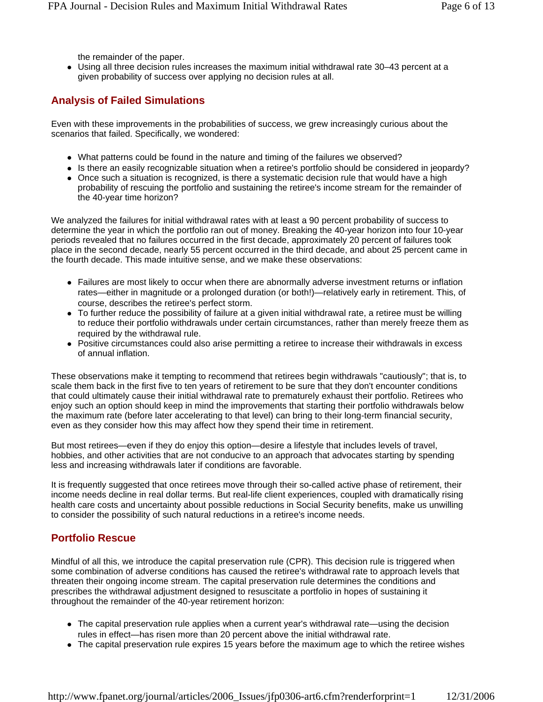the remainder of the paper.

• Using all three decision rules increases the maximum initial withdrawal rate 30-43 percent at a given probability of success over applying no decision rules at all.

## **Analysis of Failed Simulations**

Even with these improvements in the probabilities of success, we grew increasingly curious about the scenarios that failed. Specifically, we wondered:

- What patterns could be found in the nature and timing of the failures we observed?
- Is there an easily recognizable situation when a retiree's portfolio should be considered in jeopardy?
- Once such a situation is recognized, is there a systematic decision rule that would have a high probability of rescuing the portfolio and sustaining the retiree's income stream for the remainder of the 40-year time horizon?

We analyzed the failures for initial withdrawal rates with at least a 90 percent probability of success to determine the year in which the portfolio ran out of money. Breaking the 40-year horizon into four 10-year periods revealed that no failures occurred in the first decade, approximately 20 percent of failures took place in the second decade, nearly 55 percent occurred in the third decade, and about 25 percent came in the fourth decade. This made intuitive sense, and we make these observations:

- Failures are most likely to occur when there are abnormally adverse investment returns or inflation rates—either in magnitude or a prolonged duration (or both!)—relatively early in retirement. This, of course, describes the retiree's perfect storm.
- To further reduce the possibility of failure at a given initial withdrawal rate, a retiree must be willing to reduce their portfolio withdrawals under certain circumstances, rather than merely freeze them as required by the withdrawal rule.
- Positive circumstances could also arise permitting a retiree to increase their withdrawals in excess of annual inflation.

These observations make it tempting to recommend that retirees begin withdrawals "cautiously"; that is, to scale them back in the first five to ten years of retirement to be sure that they don't encounter conditions that could ultimately cause their initial withdrawal rate to prematurely exhaust their portfolio. Retirees who enjoy such an option should keep in mind the improvements that starting their portfolio withdrawals below the maximum rate (before later accelerating to that level) can bring to their long-term financial security, even as they consider how this may affect how they spend their time in retirement.

But most retirees—even if they do enjoy this option—desire a lifestyle that includes levels of travel, hobbies, and other activities that are not conducive to an approach that advocates starting by spending less and increasing withdrawals later if conditions are favorable.

It is frequently suggested that once retirees move through their so-called active phase of retirement, their income needs decline in real dollar terms. But real-life client experiences, coupled with dramatically rising health care costs and uncertainty about possible reductions in Social Security benefits, make us unwilling to consider the possibility of such natural reductions in a retiree's income needs.

### **Portfolio Rescue**

Mindful of all this, we introduce the capital preservation rule (CPR). This decision rule is triggered when some combination of adverse conditions has caused the retiree's withdrawal rate to approach levels that threaten their ongoing income stream. The capital preservation rule determines the conditions and prescribes the withdrawal adjustment designed to resuscitate a portfolio in hopes of sustaining it throughout the remainder of the 40-year retirement horizon:

- The capital preservation rule applies when a current year's withdrawal rate—using the decision rules in effect—has risen more than 20 percent above the initial withdrawal rate.
- The capital preservation rule expires 15 years before the maximum age to which the retiree wishes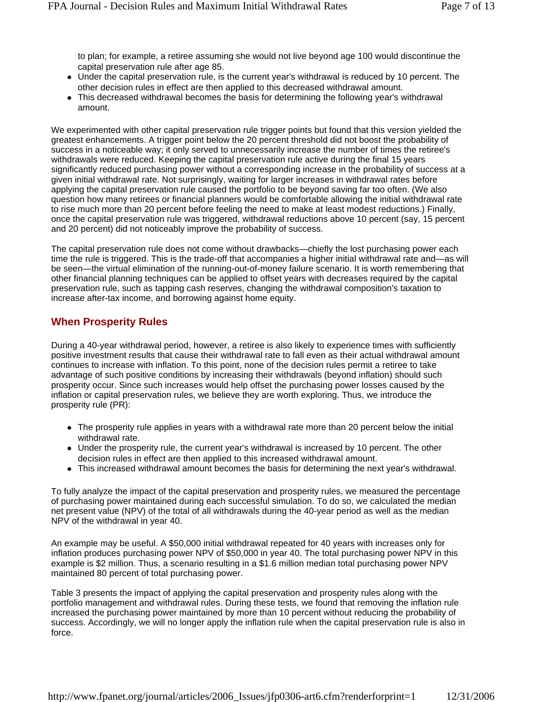to plan; for example, a retiree assuming she would not live beyond age 100 would discontinue the capital preservation rule after age 85.

- Under the capital preservation rule, is the current year's withdrawal is reduced by 10 percent. The other decision rules in effect are then applied to this decreased withdrawal amount.
- This decreased withdrawal becomes the basis for determining the following year's withdrawal amount.

We experimented with other capital preservation rule trigger points but found that this version yielded the greatest enhancements. A trigger point below the 20 percent threshold did not boost the probability of success in a noticeable way; it only served to unnecessarily increase the number of times the retiree's withdrawals were reduced. Keeping the capital preservation rule active during the final 15 years significantly reduced purchasing power without a corresponding increase in the probability of success at a given initial withdrawal rate. Not surprisingly, waiting for larger increases in withdrawal rates before applying the capital preservation rule caused the portfolio to be beyond saving far too often. (We also question how many retirees or financial planners would be comfortable allowing the initial withdrawal rate to rise much more than 20 percent before feeling the need to make at least modest reductions.) Finally, once the capital preservation rule was triggered, withdrawal reductions above 10 percent (say, 15 percent and 20 percent) did not noticeably improve the probability of success.

The capital preservation rule does not come without drawbacks—chiefly the lost purchasing power each time the rule is triggered. This is the trade-off that accompanies a higher initial withdrawal rate and—as will be seen—the virtual elimination of the running-out-of-money failure scenario. It is worth remembering that other financial planning techniques can be applied to offset years with decreases required by the capital preservation rule, such as tapping cash reserves, changing the withdrawal composition's taxation to increase after-tax income, and borrowing against home equity.

## **When Prosperity Rules**

During a 40-year withdrawal period, however, a retiree is also likely to experience times with sufficiently positive investment results that cause their withdrawal rate to fall even as their actual withdrawal amount continues to increase with inflation. To this point, none of the decision rules permit a retiree to take advantage of such positive conditions by increasing their withdrawals (beyond inflation) should such prosperity occur. Since such increases would help offset the purchasing power losses caused by the inflation or capital preservation rules, we believe they are worth exploring. Thus, we introduce the prosperity rule (PR):

- The prosperity rule applies in years with a withdrawal rate more than 20 percent below the initial withdrawal rate.
- Under the prosperity rule, the current year's withdrawal is increased by 10 percent. The other decision rules in effect are then applied to this increased withdrawal amount.
- This increased withdrawal amount becomes the basis for determining the next year's withdrawal.

To fully analyze the impact of the capital preservation and prosperity rules, we measured the percentage of purchasing power maintained during each successful simulation. To do so, we calculated the median net present value (NPV) of the total of all withdrawals during the 40-year period as well as the median NPV of the withdrawal in year 40.

An example may be useful. A \$50,000 initial withdrawal repeated for 40 years with increases only for inflation produces purchasing power NPV of \$50,000 in year 40. The total purchasing power NPV in this example is \$2 million. Thus, a scenario resulting in a \$1.6 million median total purchasing power NPV maintained 80 percent of total purchasing power.

Table 3 presents the impact of applying the capital preservation and prosperity rules along with the portfolio management and withdrawal rules. During these tests, we found that removing the inflation rule increased the purchasing power maintained by more than 10 percent without reducing the probability of success. Accordingly, we will no longer apply the inflation rule when the capital preservation rule is also in force.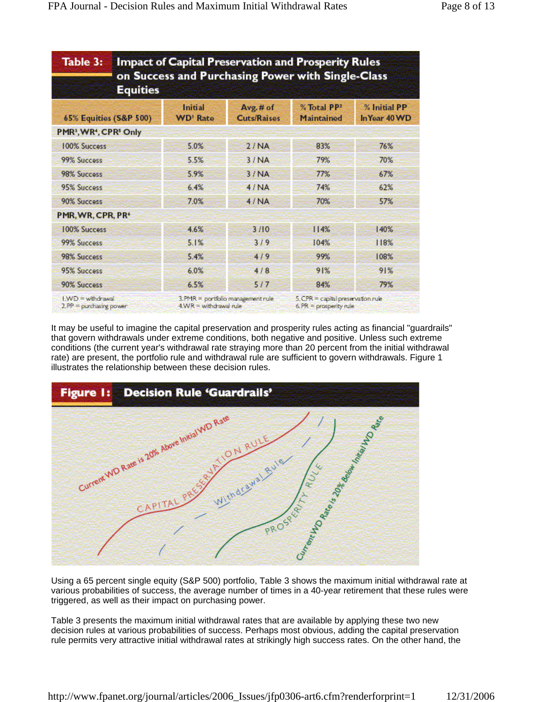| Table 3:                                                   | <b>Impact of Capital Preservation and Prosperity Rules</b><br>on Success and Purchasing Power with Single-Class<br><b>Equities</b> |                                                                 |                                |                                                               |                               |  |  |
|------------------------------------------------------------|------------------------------------------------------------------------------------------------------------------------------------|-----------------------------------------------------------------|--------------------------------|---------------------------------------------------------------|-------------------------------|--|--|
| <b>65% Equities (S&amp;P 500)</b>                          |                                                                                                                                    | Initial<br><b>WD' Rate</b>                                      | Avg.# of<br><b>Cuts/Raises</b> | % Total PP <sub>2</sub><br><b>Maintained</b>                  | % Initial PP<br>In Year 40 WD |  |  |
| PMR <sup>3</sup> , WR <sup>4</sup> , CPR <sup>5</sup> Only |                                                                                                                                    |                                                                 |                                |                                                               |                               |  |  |
| <b>100% Success</b>                                        |                                                                                                                                    | 5.0%                                                            | 2/NA                           | 83%                                                           | 76%                           |  |  |
| 99% Success                                                |                                                                                                                                    | 5.5%                                                            | 3/NA                           | 79%                                                           | 70%                           |  |  |
| 98% Success                                                |                                                                                                                                    | 5.9%                                                            | 3/NA                           | 77%                                                           | 67%                           |  |  |
| 95% Success                                                |                                                                                                                                    | 6.4%                                                            | 4/NA                           | 74%                                                           | 62%                           |  |  |
| 90% Success                                                |                                                                                                                                    | 7.0%                                                            | 4/NA                           | 70%                                                           | 57%                           |  |  |
| PMR, WR, CPR, PR <sup>®</sup>                              |                                                                                                                                    |                                                                 |                                |                                                               |                               |  |  |
| <b>100% Success</b>                                        |                                                                                                                                    | 4.6%                                                            | 3/10                           | 114%                                                          | 140%                          |  |  |
| 99% Success                                                |                                                                                                                                    | 5.1%                                                            | 319                            | 104%                                                          | 118%                          |  |  |
| 98% Success                                                |                                                                                                                                    | 5.4%                                                            | 419                            | 99%                                                           | 108%                          |  |  |
| 95% Success                                                |                                                                                                                                    | 6.0%                                                            | 4/8                            | 91%                                                           | 91%                           |  |  |
| 90% Success                                                |                                                                                                                                    | 6.5%                                                            | 5/7                            | 84%                                                           | 79%                           |  |  |
| $1WD =$ wthdrawal<br>$2.$ PP = purchasing power            |                                                                                                                                    | $3.$ PMR = portfolio management rule<br>$4WR =$ withdrawal rule |                                | 5. CPR = capital preservation rule<br>$6. PR = property rule$ |                               |  |  |

It may be useful to imagine the capital preservation and prosperity rules acting as financial "guardrails" that govern withdrawals under extreme conditions, both negative and positive. Unless such extreme conditions (the current year's withdrawal rate straying more than 20 percent from the initial withdrawal rate) are present, the portfolio rule and withdrawal rule are sufficient to govern withdrawals. Figure 1 illustrates the relationship between these decision rules.



Using a 65 percent single equity (S&P 500) portfolio, Table 3 shows the maximum initial withdrawal rate at various probabilities of success, the average number of times in a 40-year retirement that these rules were triggered, as well as their impact on purchasing power.

Table 3 presents the maximum initial withdrawal rates that are available by applying these two new decision rules at various probabilities of success. Perhaps most obvious, adding the capital preservation rule permits very attractive initial withdrawal rates at strikingly high success rates. On the other hand, the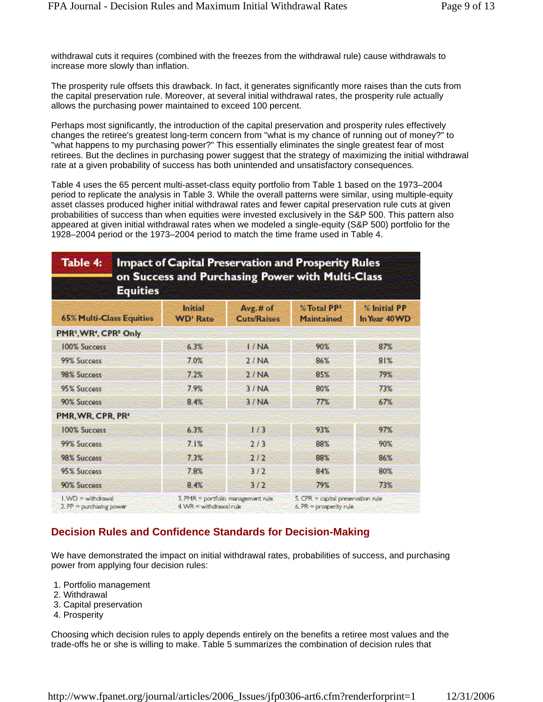withdrawal cuts it requires (combined with the freezes from the withdrawal rule) cause withdrawals to increase more slowly than inflation.

The prosperity rule offsets this drawback. In fact, it generates significantly more raises than the cuts from the capital preservation rule. Moreover, at several initial withdrawal rates, the prosperity rule actually allows the purchasing power maintained to exceed 100 percent.

Perhaps most significantly, the introduction of the capital preservation and prosperity rules effectively changes the retiree's greatest long-term concern from "what is my chance of running out of money?" to "what happens to my purchasing power?" This essentially eliminates the single greatest fear of most retirees. But the declines in purchasing power suggest that the strategy of maximizing the initial withdrawal rate at a given probability of success has both unintended and unsatisfactory consequences.

Table 4 uses the 65 percent multi-asset-class equity portfolio from Table 1 based on the 1973–2004 period to replicate the analysis in Table 3. While the overall patterns were similar, using multiple-equity asset classes produced higher initial withdrawal rates and fewer capital preservation rule cuts at given probabilities of success than when equities were invested exclusively in the S&P 500. This pattern also appeared at given initial withdrawal rates when we modeled a single-equity (S&P 500) portfolio for the 1928–2004 period or the 1973–2004 period to match the time frame used in Table 4.

| Table 4:<br><b>Impact of Capital Preservation and Prosperity Rules</b><br>on Success and Purchasing Power with Multi-Class<br><b>Equities</b> |                              |                                    |                                                               |                               |  |  |
|-----------------------------------------------------------------------------------------------------------------------------------------------|------------------------------|------------------------------------|---------------------------------------------------------------|-------------------------------|--|--|
| <b>65% Multi-Class Equities</b>                                                                                                               | Initial<br><b>WD' Rate</b>   | Avg.# of<br><b>Cuts/Raises</b>     | %Total PP <sub>2</sub><br><b>Maintained</b>                   | % Initial PP<br>In Year 40 WD |  |  |
| PMR <sup>3</sup> , WR <sup>4</sup> , CPR <sup>5</sup> Only                                                                                    |                              |                                    |                                                               |                               |  |  |
| 100% Success                                                                                                                                  | 6.3%                         | 1/NA                               | 90%                                                           | 87%                           |  |  |
| 99% Success                                                                                                                                   | 7.0%                         | 2/NA                               | 86%                                                           | 81%                           |  |  |
| 98% Success                                                                                                                                   | 7.2%                         | 2/NA                               | 85%                                                           | 79%                           |  |  |
| 95% Success                                                                                                                                   | 7.9%                         | 3/NA                               | 80%                                                           | 73%                           |  |  |
| 90% Success                                                                                                                                   | 8.4%                         | 3/NA                               | 77%                                                           | 67%                           |  |  |
| PMR, WR, CPR, PR <sup>®</sup>                                                                                                                 |                              |                                    |                                                               |                               |  |  |
| 100% Success                                                                                                                                  | 6.3%                         | 1/3                                | 93%                                                           | 97%                           |  |  |
| 99% Success                                                                                                                                   | 7.1%                         | 2/3                                | 88%                                                           | 90%                           |  |  |
| 98% Success                                                                                                                                   | 7.3%                         | 2/2                                | 88%                                                           | 86%                           |  |  |
| 95% Success                                                                                                                                   | 7.8%                         | 3/2                                | 84%                                                           | 80%                           |  |  |
| 90% Success                                                                                                                                   | 8.4%                         | 3/2                                | 79%                                                           | 73%                           |  |  |
| $1 \text{ WD} =$ with drawal<br>$2.$ PP = purchasing power                                                                                    | $4. WR = with drawn at rule$ | 3. PMR = portfolio management rule | 5. CPR = capital preservation rule<br>6. $PR = property$ rule |                               |  |  |

## **Decision Rules and Confidence Standards for Decision-Making**

We have demonstrated the impact on initial withdrawal rates, probabilities of success, and purchasing power from applying four decision rules:

- 1. Portfolio management
- 2. Withdrawal
- 3. Capital preservation
- 4. Prosperity

Choosing which decision rules to apply depends entirely on the benefits a retiree most values and the trade-offs he or she is willing to make. Table 5 summarizes the combination of decision rules that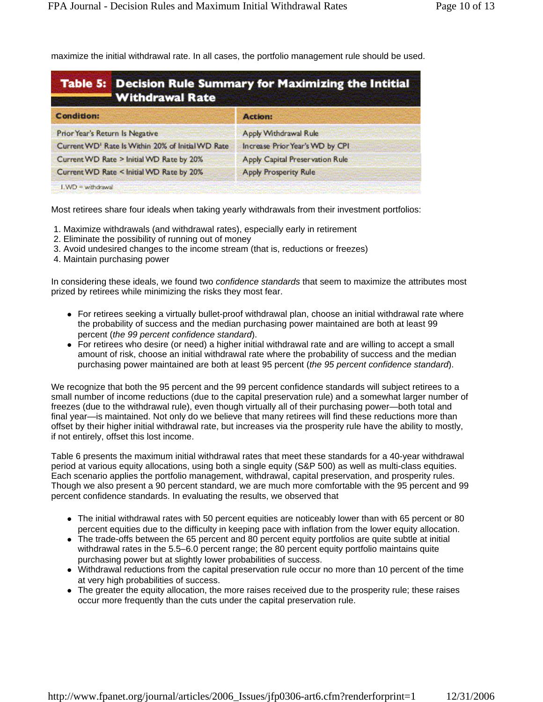maximize the initial withdrawal rate. In all cases, the portfolio management rule should be used.

| <b>Table 5: Decision Rule Summary for Maximizing the Intitial</b><br><b>Withdrawal Rate</b> |                                  |  |  |  |  |  |
|---------------------------------------------------------------------------------------------|----------------------------------|--|--|--|--|--|
| <b>Condition:</b>                                                                           | <b>Action:</b>                   |  |  |  |  |  |
| Prior Year's Return Is Negative                                                             | Apply Withdrawal Rule            |  |  |  |  |  |
| Current WD <sup>1</sup> Rate Is Within 20% of Initial WD Rate                               | Increase Prior Year's VVD by CPI |  |  |  |  |  |
| Current WD Rate > Initial WD Rate by 20%                                                    | Apply Capital Preservation Rule  |  |  |  |  |  |
| Current WD Rate < Initial WD Rate by 20%                                                    | <b>Apply Prosperity Rule</b>     |  |  |  |  |  |
| $IWD =$ withdrawal:                                                                         |                                  |  |  |  |  |  |

Most retirees share four ideals when taking yearly withdrawals from their investment portfolios:

- 1. Maximize withdrawals (and withdrawal rates), especially early in retirement
- 2. Eliminate the possibility of running out of money
- 3. Avoid undesired changes to the income stream (that is, reductions or freezes)
- 4. Maintain purchasing power

In considering these ideals, we found two *confidence standards* that seem to maximize the attributes most prized by retirees while minimizing the risks they most fear.

- For retirees seeking a virtually bullet-proof withdrawal plan, choose an initial withdrawal rate where the probability of success and the median purchasing power maintained are both at least 99 percent (*the 99 percent confidence standard*).
- For retirees who desire (or need) a higher initial withdrawal rate and are willing to accept a small amount of risk, choose an initial withdrawal rate where the probability of success and the median purchasing power maintained are both at least 95 percent (*the 95 percent confidence standard*).

We recognize that both the 95 percent and the 99 percent confidence standards will subject retirees to a small number of income reductions (due to the capital preservation rule) and a somewhat larger number of freezes (due to the withdrawal rule), even though virtually all of their purchasing power—both total and final year—is maintained. Not only do we believe that many retirees will find these reductions more than offset by their higher initial withdrawal rate, but increases via the prosperity rule have the ability to mostly, if not entirely, offset this lost income.

Table 6 presents the maximum initial withdrawal rates that meet these standards for a 40-year withdrawal period at various equity allocations, using both a single equity (S&P 500) as well as multi-class equities. Each scenario applies the portfolio management, withdrawal, capital preservation, and prosperity rules. Though we also present a 90 percent standard, we are much more comfortable with the 95 percent and 99 percent confidence standards. In evaluating the results, we observed that

- The initial withdrawal rates with 50 percent equities are noticeably lower than with 65 percent or 80 percent equities due to the difficulty in keeping pace with inflation from the lower equity allocation.
- The trade-offs between the 65 percent and 80 percent equity portfolios are quite subtle at initial withdrawal rates in the 5.5–6.0 percent range; the 80 percent equity portfolio maintains quite purchasing power but at slightly lower probabilities of success.
- Withdrawal reductions from the capital preservation rule occur no more than 10 percent of the time at very high probabilities of success.
- The greater the equity allocation, the more raises received due to the prosperity rule; these raises occur more frequently than the cuts under the capital preservation rule.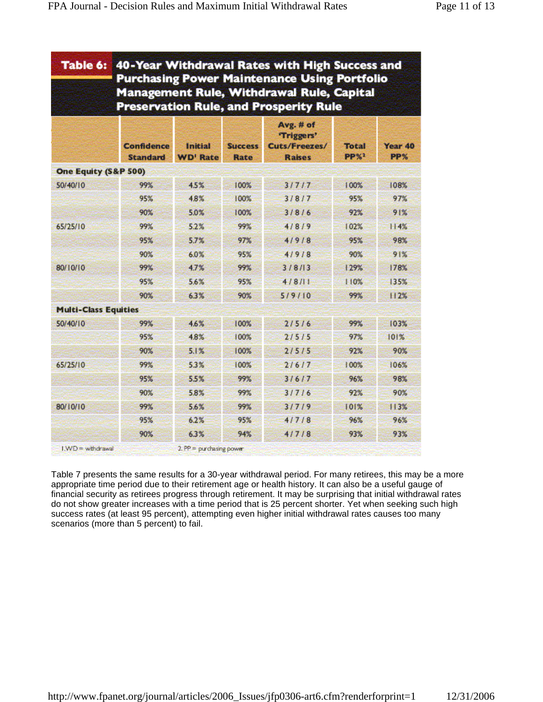| Table 6:                    | 40-Year Withdrawal Rates with High Success and<br><b>Purchasing Power Maintenance Using Portfolio</b><br><b>Management Rule, Withdrawal Rule, Capital</b><br><b>Preservation Rule, and Prosperity Rule</b> |                            |                               |                                                           |                                 |                |  |
|-----------------------------|------------------------------------------------------------------------------------------------------------------------------------------------------------------------------------------------------------|----------------------------|-------------------------------|-----------------------------------------------------------|---------------------------------|----------------|--|
|                             | <b>Confidence</b><br><b>Standard</b>                                                                                                                                                                       | Initial<br><b>WD' Rate</b> | <b>Success</b><br><b>Rate</b> | Avg. # of<br>"Triggers"<br>Cuts/Freezes/<br><b>Raises</b> | <b>Total</b><br>PP <sub>2</sub> | Year 40<br>PP% |  |
| One Equity (S&P 500)        |                                                                                                                                                                                                            |                            |                               |                                                           |                                 |                |  |
| 50/40/10                    | 99%                                                                                                                                                                                                        | 4.5%                       | 100%                          | 31717                                                     | 100%                            | 108%           |  |
|                             | 95%                                                                                                                                                                                                        | 4.8%                       | 100%                          | 3/8/7                                                     | 95%                             | 97%            |  |
|                             | 90%                                                                                                                                                                                                        | 5.0%                       | 100%                          | 3/8/6                                                     | 92%                             | 91%            |  |
| 65/25/10                    | 99%                                                                                                                                                                                                        | 5.2%                       | 99%                           | 4/8/9                                                     | 102%                            | 114%           |  |
|                             | 95%                                                                                                                                                                                                        | 5.7%                       | 97%                           | 4/9/8                                                     | 95%                             | 98%            |  |
|                             | 90%                                                                                                                                                                                                        | 6.0%                       | 95%                           | 41918                                                     | 90%                             | 91%            |  |
| 80/10/10                    | 99%                                                                                                                                                                                                        | 4.7%                       | 99%                           | 3/8/13                                                    | 129%                            | 178%           |  |
|                             | 95%                                                                                                                                                                                                        | 5.6%                       | 95%                           | 4/8/11                                                    | 110%                            | 135%           |  |
|                             | 90%                                                                                                                                                                                                        | 6.3%                       | 90%                           | 5/9/10                                                    | 99%                             | 112%           |  |
| <b>Multi-Class Equities</b> |                                                                                                                                                                                                            |                            |                               |                                                           |                                 |                |  |
| 50/40/10                    | 99%                                                                                                                                                                                                        | 4.6%                       | 100%                          | 2/5/6                                                     | 99%                             | 103%           |  |
|                             | 95%                                                                                                                                                                                                        | 4.8%                       | 100%                          | 2/5/5                                                     | 97%                             | 101%           |  |
|                             | 90%                                                                                                                                                                                                        | 5.1%                       | 100%                          | 2/5/5                                                     | 92%                             | 90%            |  |
| 65/25/10                    | 99%                                                                                                                                                                                                        | 5.3%                       | 100%                          | 21617                                                     | 100%                            | 106%           |  |
|                             | 95%                                                                                                                                                                                                        | 5.5%                       | 99%                           | 31617                                                     | 96%                             | 98%            |  |
|                             | 90%                                                                                                                                                                                                        | 5.8%                       | 99%                           | 31716                                                     | 92%                             | 90%            |  |
| 80/10/10                    | 99%                                                                                                                                                                                                        | 5.6%                       | 99%                           | 31719                                                     | 101%                            | 113%           |  |
|                             | 95%                                                                                                                                                                                                        | 6.2%                       | 95%                           | 4/7/8                                                     | 96%                             | 96%            |  |
|                             | 90%                                                                                                                                                                                                        | 6.3%                       | 94%                           | 4/7/8                                                     | 93%                             | 93%            |  |
| $LWD$ = withdrawal          |                                                                                                                                                                                                            | $2.$ PP = purchasing power |                               |                                                           |                                 |                |  |

Table 7 presents the same results for a 30-year withdrawal period. For many retirees, this may be a more appropriate time period due to their retirement age or health history. It can also be a useful gauge of financial security as retirees progress through retirement. It may be surprising that initial withdrawal rates do not show greater increases with a time period that is 25 percent shorter. Yet when seeking such high success rates (at least 95 percent), attempting even higher initial withdrawal rates causes too many scenarios (more than 5 percent) to fail.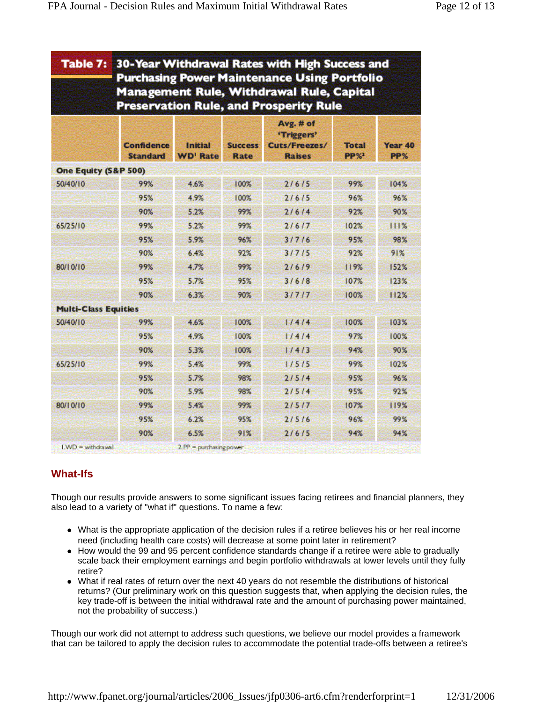| Table 7:                    | 30-Year Withdrawal Rates with High Success and<br><b>Purchasing Power Maintenance Using Portfolio</b><br><b>Management Rule, Withdrawal Rule, Capital</b><br><b>Preservation Rule, and Prosperity Rule</b> |                            |                               |                                                           |                            |                |  |  |
|-----------------------------|------------------------------------------------------------------------------------------------------------------------------------------------------------------------------------------------------------|----------------------------|-------------------------------|-----------------------------------------------------------|----------------------------|----------------|--|--|
|                             | <b>Confidence</b><br><b>Standard</b>                                                                                                                                                                       | Initial<br><b>WD' Rate</b> | <b>Success</b><br><b>Rate</b> | Avg. # of<br>'Triggers'<br>Cuts/Freezes/<br><b>Raises</b> | <b>Total</b><br><b>PP%</b> | Year 40<br>PP% |  |  |
| One Equity (S&P 500)        |                                                                                                                                                                                                            |                            |                               |                                                           |                            |                |  |  |
| 50/40/10                    | 99%                                                                                                                                                                                                        | 4.6%                       | 100%                          | 2/6/5                                                     | 99%                        | 104%           |  |  |
|                             | 95%                                                                                                                                                                                                        | 4.9%                       | 100%                          | 2/6/5                                                     | 96%                        | 96%            |  |  |
|                             | 90%                                                                                                                                                                                                        | 5.2%                       | 99%                           | 21614                                                     | 92%                        | 90%            |  |  |
| 65/25/10                    | 99%                                                                                                                                                                                                        | 5.2%                       | 99%                           | 21617                                                     | 102%                       | 111%           |  |  |
|                             | 95%                                                                                                                                                                                                        | 5.9%                       | 96%                           | 3/7/6                                                     | 95%                        | 98%            |  |  |
|                             | 90%                                                                                                                                                                                                        | 6.4%                       | 92%                           | 3/7/5                                                     | 92%                        | 91%            |  |  |
| 80/10/10                    | 99%                                                                                                                                                                                                        | 4.7%                       | 99%                           | 2/6/9                                                     | 119%                       | 152%           |  |  |
|                             | 95%                                                                                                                                                                                                        | 5.7%                       | 95%                           | 3/6/8                                                     | 107%                       | 123%           |  |  |
|                             | 90%                                                                                                                                                                                                        | 6.3%                       | 90%                           | 31717                                                     | 100%                       | 112%           |  |  |
| <b>Multi-Class Equities</b> |                                                                                                                                                                                                            |                            |                               |                                                           |                            |                |  |  |
| 50/40/10                    | 99%                                                                                                                                                                                                        | 4.6%                       | 100%                          | 1/4/4                                                     | 100%                       | 103%           |  |  |
|                             | 95%                                                                                                                                                                                                        | 4.9%                       | 100%                          | 1/4/4                                                     | 97%                        | 100%           |  |  |
|                             | 90%                                                                                                                                                                                                        | 5.3%                       | 100%                          | 1/4/3                                                     | 94%                        | 90%            |  |  |
| 65/25/10                    | 99%                                                                                                                                                                                                        | 5.4%                       | 99%                           | 1/5/5                                                     | 99%                        | 102%           |  |  |
|                             | 95%                                                                                                                                                                                                        | 5.7%                       | 98%                           | 2/5/4                                                     | 95%                        | 96%            |  |  |
|                             | 90%                                                                                                                                                                                                        | 5.9%                       | 98%                           | 2/5/4                                                     | 95%                        | 92%            |  |  |
| 80/10/10                    | 99%                                                                                                                                                                                                        | 5.4%                       | 99%                           | 2/5/7                                                     | 107%                       | 119%           |  |  |
|                             | 95%                                                                                                                                                                                                        | 6.2%                       | 95%                           | 2/5/6                                                     | 96%                        | 99%            |  |  |
|                             | 90%                                                                                                                                                                                                        | 6.5%                       | 91%                           | 2/6/5                                                     | 94%                        | 94%            |  |  |

## **What-Ifs**

Though our results provide answers to some significant issues facing retirees and financial planners, they also lead to a variety of "what if" questions. To name a few:

- What is the appropriate application of the decision rules if a retiree believes his or her real income need (including health care costs) will decrease at some point later in retirement?
- How would the 99 and 95 percent confidence standards change if a retiree were able to gradually scale back their employment earnings and begin portfolio withdrawals at lower levels until they fully retire?
- What if real rates of return over the next 40 years do not resemble the distributions of historical returns? (Our preliminary work on this question suggests that, when applying the decision rules, the key trade-off is between the initial withdrawal rate and the amount of purchasing power maintained, not the probability of success.)

Though our work did not attempt to address such questions, we believe our model provides a framework that can be tailored to apply the decision rules to accommodate the potential trade-offs between a retiree's